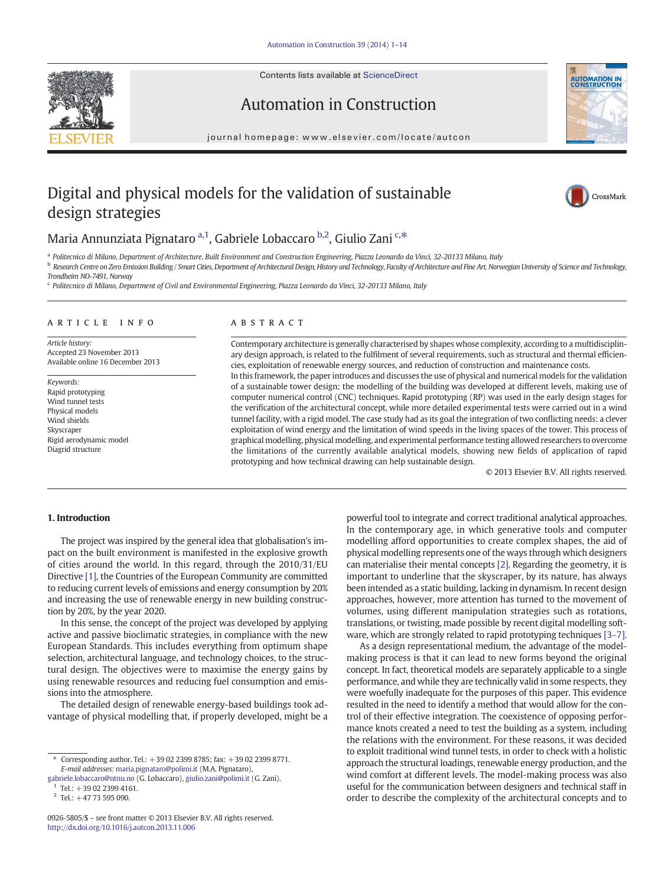Contents lists available at ScienceDirect





Automation in Construction

journal homepage: www.elsevier.com/locate/autcon

# Digital and physical models for the validation of sustainable design strategies



## Maria Annunziata Pignataro <sup>a,1</sup>, Gabriele Lobaccaro <sup>b,2</sup>, Giulio Zani <sup>c,\*</sup>

a Politecnico di Milano, Department of Architecture, Built Environment and Construction Engineering, Piazza Leonardo da Vinci, 32-20133 Milano, Italy

<sup>b</sup> Research Centre on Zero Emission Building / Smart Cities, Department of Architectural Design, History and Technology, Faculty of Architecture and Fine Art, Norwegian University of Science and Technology, Trondheim NO-7491, Norway

<sup>c</sup> Politecnico di Milano, Department of Civil and Environmental Engineering, Piazza Leonardo da Vinci, 32-20133 Milano, Italy

#### article info abstract

Article history: Accepted 23 November 2013 Available online 16 December 2013

Keywords: Rapid prototyping Wind tunnel tests Physical models Wind shields Skyscraper Rigid aerodynamic model Diagrid structure

Contemporary architecture is generally characterised by shapes whose complexity, according to a multidisciplinary design approach, is related to the fulfilment of several requirements, such as structural and thermal efficiencies, exploitation of renewable energy sources, and reduction of construction and maintenance costs. In this framework, the paper introduces and discusses the use of physical and numerical models for the validation

of a sustainable tower design; the modelling of the building was developed at different levels, making use of computer numerical control (CNC) techniques. Rapid prototyping (RP) was used in the early design stages for the verification of the architectural concept, while more detailed experimental tests were carried out in a wind tunnel facility, with a rigid model. The case study had as its goal the integration of two conflicting needs: a clever exploitation of wind energy and the limitation of wind speeds in the living spaces of the tower. This process of graphical modelling, physical modelling, and experimental performance testing allowed researchers to overcome the limitations of the currently available analytical models, showing new fields of application of rapid prototyping and how technical drawing can help sustainable design.

© 2013 Elsevier B.V. All rights reserved.

### 1. Introduction

The project was inspired by the general idea that globalisation's impact on the built environment is manifested in the explosive growth of cities around the world. In this regard, through the 2010/31/EU Directive [\[1\]](#page--1-0), the Countries of the European Community are committed to reducing current levels of emissions and energy consumption by 20% and increasing the use of renewable energy in new building construction by 20%, by the year 2020.

In this sense, the concept of the project was developed by applying active and passive bioclimatic strategies, in compliance with the new European Standards. This includes everything from optimum shape selection, architectural language, and technology choices, to the structural design. The objectives were to maximise the energy gains by using renewable resources and reducing fuel consumption and emissions into the atmosphere.

The detailed design of renewable energy-based buildings took advantage of physical modelling that, if properly developed, might be a powerful tool to integrate and correct traditional analytical approaches. In the contemporary age, in which generative tools and computer modelling afford opportunities to create complex shapes, the aid of physical modelling represents one of the ways through which designers can materialise their mental concepts [\[2\]](#page--1-0). Regarding the geometry, it is important to underline that the skyscraper, by its nature, has always been intended as a static building, lacking in dynamism. In recent design approaches, however, more attention has turned to the movement of volumes, using different manipulation strategies such as rotations, translations, or twisting, made possible by recent digital modelling software, which are strongly related to rapid prototyping techniques [3–[7\].](#page--1-0)

As a design representational medium, the advantage of the modelmaking process is that it can lead to new forms beyond the original concept. In fact, theoretical models are separately applicable to a single performance, and while they are technically valid in some respects, they were woefully inadequate for the purposes of this paper. This evidence resulted in the need to identify a method that would allow for the control of their effective integration. The coexistence of opposing performance knots created a need to test the building as a system, including the relations with the environment. For these reasons, it was decided to exploit traditional wind tunnel tests, in order to check with a holistic approach the structural loadings, renewable energy production, and the wind comfort at different levels. The model-making process was also useful for the communication between designers and technical staff in order to describe the complexity of the architectural concepts and to

<sup>⁎</sup> Corresponding author. Tel.: +39 02 2399 8785; fax: +39 02 2399 8771. E-mail addresses: [maria.pignataro@polimi.it](mailto:maria.pignataro@polimi.it) (M.A. Pignataro),

[gabriele.lobaccaro@ntnu.no](mailto:gabriele.lobaccaro@ntnu.no) (G. Lobaccaro), [giulio.zani@polimi.it](mailto:giulio.zani@polimi.it) (G. Zani).  $1$  Tel.: +39 02 2399 4161.

 $2$  Tel.: +47 73 595 090.

<sup>0926-5805/\$</sup> – see front matter © 2013 Elsevier B.V. All rights reserved. <http://dx.doi.org/10.1016/j.autcon.2013.11.006>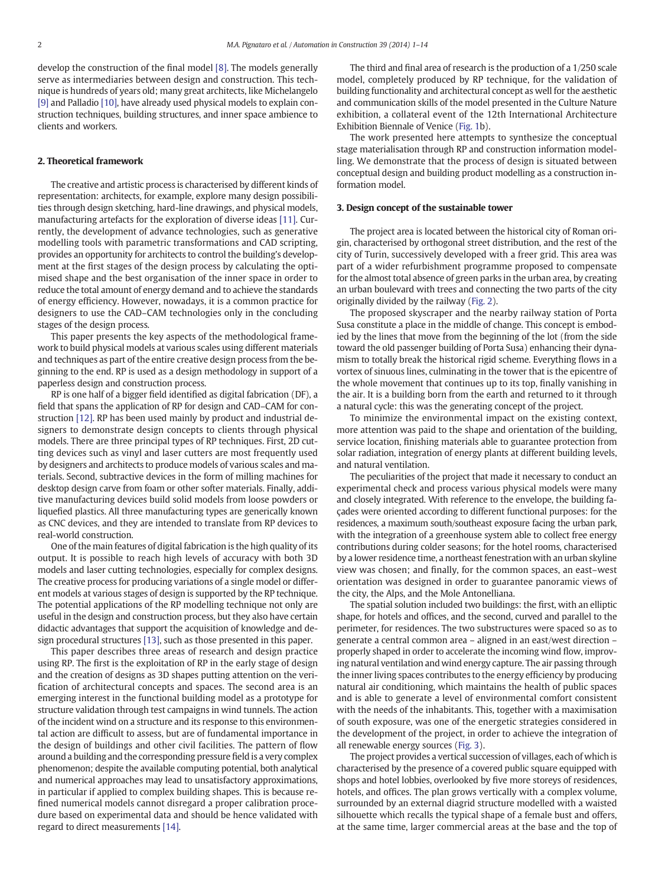develop the construction of the final model [\[8\]](#page--1-0). The models generally serve as intermediaries between design and construction. This technique is hundreds of years old; many great architects, like Michelangelo [\[9\]](#page--1-0) and Palladio [\[10\],](#page--1-0) have already used physical models to explain construction techniques, building structures, and inner space ambience to clients and workers.

#### 2. Theoretical framework

The creative and artistic process is characterised by different kinds of representation: architects, for example, explore many design possibilities through design sketching, hard-line drawings, and physical models, manufacturing artefacts for the exploration of diverse ideas [\[11\].](#page--1-0) Currently, the development of advance technologies, such as generative modelling tools with parametric transformations and CAD scripting, provides an opportunity for architects to control the building's development at the first stages of the design process by calculating the optimised shape and the best organisation of the inner space in order to reduce the total amount of energy demand and to achieve the standards of energy efficiency. However, nowadays, it is a common practice for designers to use the CAD–CAM technologies only in the concluding stages of the design process.

This paper presents the key aspects of the methodological framework to build physical models at various scales using different materials and techniques as part of the entire creative design process from the beginning to the end. RP is used as a design methodology in support of a paperless design and construction process.

RP is one half of a bigger field identified as digital fabrication (DF), a field that spans the application of RP for design and CAD–CAM for construction [\[12\].](#page--1-0) RP has been used mainly by product and industrial designers to demonstrate design concepts to clients through physical models. There are three principal types of RP techniques. First, 2D cutting devices such as vinyl and laser cutters are most frequently used by designers and architects to produce models of various scales and materials. Second, subtractive devices in the form of milling machines for desktop design carve from foam or other softer materials. Finally, additive manufacturing devices build solid models from loose powders or liquefied plastics. All three manufacturing types are generically known as CNC devices, and they are intended to translate from RP devices to real-world construction.

One of the main features of digital fabrication is the high quality of its output. It is possible to reach high levels of accuracy with both 3D models and laser cutting technologies, especially for complex designs. The creative process for producing variations of a single model or different models at various stages of design is supported by the RP technique. The potential applications of the RP modelling technique not only are useful in the design and construction process, but they also have certain didactic advantages that support the acquisition of knowledge and design procedural structures [\[13\],](#page--1-0) such as those presented in this paper.

This paper describes three areas of research and design practice using RP. The first is the exploitation of RP in the early stage of design and the creation of designs as 3D shapes putting attention on the verification of architectural concepts and spaces. The second area is an emerging interest in the functional building model as a prototype for structure validation through test campaigns in wind tunnels. The action of the incident wind on a structure and its response to this environmental action are difficult to assess, but are of fundamental importance in the design of buildings and other civil facilities. The pattern of flow around a building and the corresponding pressure field is a very complex phenomenon; despite the available computing potential, both analytical and numerical approaches may lead to unsatisfactory approximations, in particular if applied to complex building shapes. This is because refined numerical models cannot disregard a proper calibration procedure based on experimental data and should be hence validated with regard to direct measurements [\[14\]](#page--1-0).

The third and final area of research is the production of a 1/250 scale model, completely produced by RP technique, for the validation of building functionality and architectural concept as well for the aesthetic and communication skills of the model presented in the Culture Nature exhibition, a collateral event of the 12th International Architecture Exhibition Biennale of Venice [\(Fig. 1b](#page--1-0)).

The work presented here attempts to synthesize the conceptual stage materialisation through RP and construction information modelling. We demonstrate that the process of design is situated between conceptual design and building product modelling as a construction information model.

#### 3. Design concept of the sustainable tower

The project area is located between the historical city of Roman origin, characterised by orthogonal street distribution, and the rest of the city of Turin, successively developed with a freer grid. This area was part of a wider refurbishment programme proposed to compensate for the almost total absence of green parks in the urban area, by creating an urban boulevard with trees and connecting the two parts of the city originally divided by the railway [\(Fig. 2](#page--1-0)).

The proposed skyscraper and the nearby railway station of Porta Susa constitute a place in the middle of change. This concept is embodied by the lines that move from the beginning of the lot (from the side toward the old passenger building of Porta Susa) enhancing their dynamism to totally break the historical rigid scheme. Everything flows in a vortex of sinuous lines, culminating in the tower that is the epicentre of the whole movement that continues up to its top, finally vanishing in the air. It is a building born from the earth and returned to it through a natural cycle: this was the generating concept of the project.

To minimize the environmental impact on the existing context, more attention was paid to the shape and orientation of the building, service location, finishing materials able to guarantee protection from solar radiation, integration of energy plants at different building levels, and natural ventilation.

The peculiarities of the project that made it necessary to conduct an experimental check and process various physical models were many and closely integrated. With reference to the envelope, the building façades were oriented according to different functional purposes: for the residences, a maximum south/southeast exposure facing the urban park, with the integration of a greenhouse system able to collect free energy contributions during colder seasons; for the hotel rooms, characterised by a lower residence time, a northeast fenestration with an urban skyline view was chosen; and finally, for the common spaces, an east–west orientation was designed in order to guarantee panoramic views of the city, the Alps, and the Mole Antonelliana.

The spatial solution included two buildings: the first, with an elliptic shape, for hotels and offices, and the second, curved and parallel to the perimeter, for residences. The two substructures were spaced so as to generate a central common area – aligned in an east/west direction – properly shaped in order to accelerate the incoming wind flow, improving natural ventilation and wind energy capture. The air passing through the inner living spaces contributes to the energy efficiency by producing natural air conditioning, which maintains the health of public spaces and is able to generate a level of environmental comfort consistent with the needs of the inhabitants. This, together with a maximisation of south exposure, was one of the energetic strategies considered in the development of the project, in order to achieve the integration of all renewable energy sources ([Fig. 3](#page--1-0)).

The project provides a vertical succession of villages, each of which is characterised by the presence of a covered public square equipped with shops and hotel lobbies, overlooked by five more storeys of residences, hotels, and offices. The plan grows vertically with a complex volume, surrounded by an external diagrid structure modelled with a waisted silhouette which recalls the typical shape of a female bust and offers, at the same time, larger commercial areas at the base and the top of